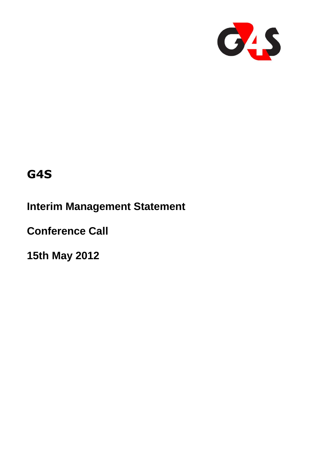

# **G4S**

**Interim Management Statement**

**Conference Call** 

**15th May 2012**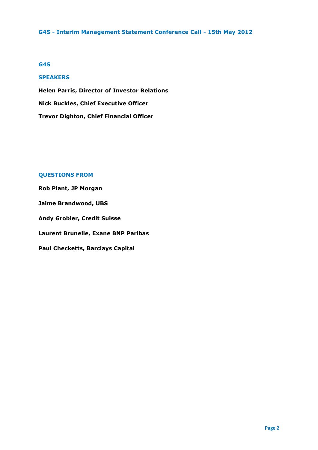## **G4S**

## **SPEAKERS**

**Helen Parris, Director of Investor Relations Nick Buckles, Chief Executive Officer Trevor Dighton, Chief Financial Officer**

## **QUESTIONS FROM**

**Rob Plant, JP Morgan Jaime Brandwood, UBS Andy Grobler, Credit Suisse Laurent Brunelle, Exane BNP Paribas**

**Paul Checketts, Barclays Capital**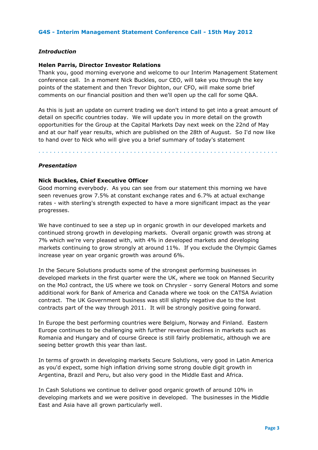## *Introduction*

## **Helen Parris, Director Investor Relations**

Thank you, good morning everyone and welcome to our Interim Management Statement conference call. In a moment Nick Buckles, our CEO, will take you through the key points of the statement and then Trevor Dighton, our CFO, will make some brief comments on our financial position and then we'll open up the call for some Q&A.

As this is just an update on current trading we don't intend to get into a great amount of detail on specific countries today. We will update you in more detail on the growth opportunities for the Group at the Capital Markets Day next week on the 22nd of May and at our half year results, which are published on the 28th of August. So I'd now like to hand over to Nick who will give you a brief summary of today's statement

. . . . . . . . . . . . . . . . . . . . . . . . . . . . . . . . . . . . . . . . . . . . . . . . . . . . . . . . . . . . . . .

*Presentation* 

#### **Nick Buckles, Chief Executive Officer**

Good morning everybody. As you can see from our statement this morning we have seen revenues grow 7.5% at constant exchange rates and 6.7% at actual exchange rates - with sterling's strength expected to have a more significant impact as the year progresses.

We have continued to see a step up in organic growth in our developed markets and continued strong growth in developing markets. Overall organic growth was strong at 7% which we're very pleased with, with 4% in developed markets and developing markets continuing to grow strongly at around 11%. If you exclude the Olympic Games increase year on year organic growth was around 6%.

In the Secure Solutions products some of the strongest performing businesses in developed markets in the first quarter were the UK, where we took on Manned Security on the MoJ contract, the US where we took on Chrysler - sorry General Motors and some additional work for Bank of America and Canada where we took on the CATSA Aviation contract. The UK Government business was still slightly negative due to the lost contracts part of the way through 2011. It will be strongly positive going forward.

In Europe the best performing countries were Belgium, Norway and Finland. Eastern Europe continues to be challenging with further revenue declines in markets such as Romania and Hungary and of course Greece is still fairly problematic, although we are seeing better growth this year than last.

In terms of growth in developing markets Secure Solutions, very good in Latin America as you'd expect, some high inflation driving some strong double digit growth in Argentina, Brazil and Peru, but also very good in the Middle East and Africa.

In Cash Solutions we continue to deliver good organic growth of around 10% in developing markets and we were positive in developed. The businesses in the Middle East and Asia have all grown particularly well.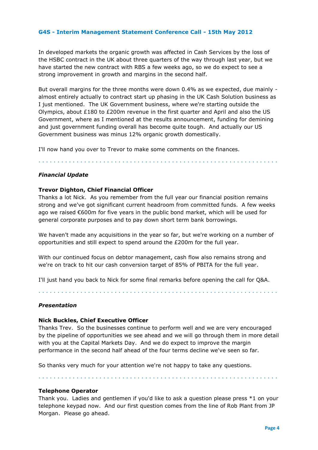In developed markets the organic growth was affected in Cash Services by the loss of the HSBC contract in the UK about three quarters of the way through last year, but we have started the new contract with RBS a few weeks ago, so we do expect to see a strong improvement in growth and margins in the second half.

But overall margins for the three months were down 0.4% as we expected, due mainly almost entirely actually to contract start up phasing in the UK Cash Solution business as I just mentioned. The UK Government business, where we're starting outside the Olympics, about  $£180$  to  $£200$ m revenue in the first quarter and April and also the US Government, where as I mentioned at the results announcement, funding for demining and just government funding overall has become quite tough. And actually our US Government business was minus 12% organic growth domestically.

. . . . . . . . . . . . . . . . . . . . . . . . . . . . . . . . . . . . . . . . . . . . . . . . . . . . . . . . . . . . . . .

I'll now hand you over to Trevor to make some comments on the finances.

## *Financial Update*

## **Trevor Dighton, Chief Financial Officer**

Thanks a lot Nick. As you remember from the full year our financial position remains strong and we've got significant current headroom from committed funds. A few weeks ago we raised €600m for five years in the public bond market, which will be used for general corporate purposes and to pay down short term bank borrowings.

We haven't made any acquisitions in the year so far, but we're working on a number of opportunities and still expect to spend around the £200m for the full year.

With our continued focus on debtor management, cash flow also remains strong and we're on track to hit our cash conversion target of 85% of PBITA for the full year.

I'll just hand you back to Nick for some final remarks before opening the call for Q&A.

. . . . . . . . . . . . . . . . . . . . . . . . . . . . . . . . . . . . . . . . . . . . . . . . . . . . . . . . . . . . . . .

## *Presentation*

#### **Nick Buckles, Chief Executive Officer**

Thanks Trev. So the businesses continue to perform well and we are very encouraged by the pipeline of opportunities we see ahead and we will go through them in more detail with you at the Capital Markets Day. And we do expect to improve the margin performance in the second half ahead of the four terms decline we've seen so far.

So thanks very much for your attention we're not happy to take any questions.

. . . . . . . . . . . . . . . . . . . . . . . . . . . . . . . . . . . . . . . . . . . . . . . . . . . . . . . . . . . . . . .

#### **Telephone Operator**

Thank you. Ladies and gentlemen if you'd like to ask a question please press \*1 on your telephone keypad now. And our first question comes from the line of Rob Plant from JP Morgan. Please go ahead.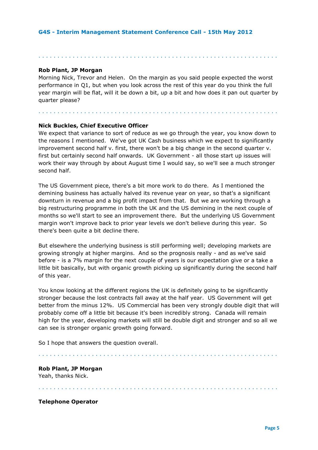## **Rob Plant, JP Morgan**

Morning Nick, Trevor and Helen. On the margin as you said people expected the worst performance in Q1, but when you look across the rest of this year do you think the full year margin will be flat, will it be down a bit, up a bit and how does it pan out quarter by quarter please?

. . . . . . . . . . . . . . . . . . . . . . . . . . . . . . . . . . . . . . . . . . . . . . . . . . . . . . . . . . . . . . .

. . . . . . . . . . . . . . . . . . . . . . . . . . . . . . . . . . . . . . . . . . . . . . . . . . . . . . . . . . . . . . .

## **Nick Buckles, Chief Executive Officer**

We expect that variance to sort of reduce as we go through the year, you know down to the reasons I mentioned. We've got UK Cash business which we expect to significantly improvement second half v. first, there won't be a big change in the second quarter v. first but certainly second half onwards. UK Government - all those start up issues will work their way through by about August time I would say, so we'll see a much stronger second half.

The US Government piece, there's a bit more work to do there. As I mentioned the demining business has actually halved its revenue year on year, so that's a significant downturn in revenue and a big profit impact from that. But we are working through a big restructuring programme in both the UK and the US demining in the next couple of months so we'll start to see an improvement there. But the underlying US Government margin won't improve back to prior year levels we don't believe during this year. So there's been quite a bit decline there.

But elsewhere the underlying business is still performing well; developing markets are growing strongly at higher margins. And so the prognosis really - and as we've said before - is a 7% margin for the next couple of years is our expectation give or a take a little bit basically, but with organic growth picking up significantly during the second half of this year.

You know looking at the different regions the UK is definitely going to be significantly stronger because the lost contracts fall away at the half year. US Government will get better from the minus 12%. US Commercial has been very strongly double digit that will probably come off a little bit because it's been incredibly strong. Canada will remain high for the year, developing markets will still be double digit and stronger and so all we can see is stronger organic growth going forward.

So I hope that answers the question overall.

. . . . . . . . . . . . . . . . . . . . . . . . . . . . . . . . . . . . . . . . . . . . . . . . . . . . . . . . . . . . . . .

. . . . . . . . . . . . . . . . . . . . . . . . . . . . . . . . . . . . . . . . . . . . . . . . . . . . . . . . . . . . . . .

**Rob Plant, JP Morgan** Yeah, thanks Nick.

**Telephone Operator**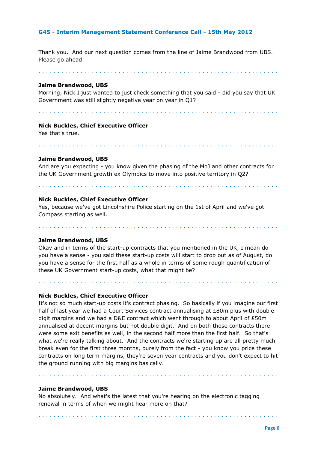Thank you. And our next question comes from the line of Jaime Brandwood from UBS. Please go ahead.

. . . . . . . . . . . . . . . . . . . . . . . . . . . . . . . . . . . . . . . . . . . . . . . . . . . . . . . . . . . . . . .

#### **Jaime Brandwood, UBS**

Morning, Nick I just wanted to just check something that you said - did you say that UK Government was still slightly negative year on year in Q1?

. . . . . . . . . . . . . . . . . . . . . . . . . . . . . . . . . . . . . . . . . . . . . . . . . . . . . . . . . . . . . . .

## **Nick Buckles, Chief Executive Officer**

Yes that's true.

## **Jaime Brandwood, UBS**

And are you expecting - you know given the phasing of the MoJ and other contracts for the UK Government growth ex Olympics to move into positive territory in Q2?

. . . . . . . . . . . . . . . . . . . . . . . . . . . . . . . . . . . . . . . . . . . . . . . . . . . . . . . . . . . . . . .

. . . . . . . . . . . . . . . . . . . . . . . . . . . . . . . . . . . . . . . . . . . . . . . . . . . . . . . . . . . . . . .

#### **Nick Buckles, Chief Executive Officer**

Yes, because we've got Lincolnshire Police starting on the 1st of April and we've got Compass starting as well.

. . . . . . . . . . . . . . . . . . . . . . . . . . . . . . . . . . . . . . . . . . . . . . . . . . . . . . . . . . . . . . .

## **Jaime Brandwood, UBS**

Okay and in terms of the start-up contracts that you mentioned in the UK, I mean do you have a sense - you said these start-up costs will start to drop out as of August, do you have a sense for the first half as a whole in terms of some rough quantification of these UK Government start-up costs, what that might be?

. . . . . . . . . . . . . . . . . . . . . . . . . . . . . . . . . . . . . . . . . . . . . . . . . . . . . . . . . . . . . . .

#### **Nick Buckles, Chief Executive Officer**

It's not so much start-up costs it's contract phasing. So basically if you imagine our first half of last year we had a Court Services contract annualising at £80m plus with double digit margins and we had a D&E contract which went through to about April of £50m annualised at decent margins but not double digit. And on both those contracts there were some exit benefits as well, in the second half more than the first half. So that's what we're really talking about. And the contracts we're starting up are all pretty much break even for the first three months, purely from the fact - you know you price these contracts on long term margins, they're seven year contracts and you don't expect to hit the ground running with big margins basically.

. . . . . . . . . . . . . . . . . . . . . . . . . . . . . . . . . . . . . . . . . . . . . . . . . . . . . . . . . . . . . . .

. . . . . . . . . . . . . . . . . . . . . . . . . . . . . . . . . . . . . . . . . . . . . . . . . . . . . . . . . . . . . . .

#### **Jaime Brandwood, UBS**

No absolutely. And what's the latest that you're hearing on the electronic tagging renewal in terms of when we might hear more on that?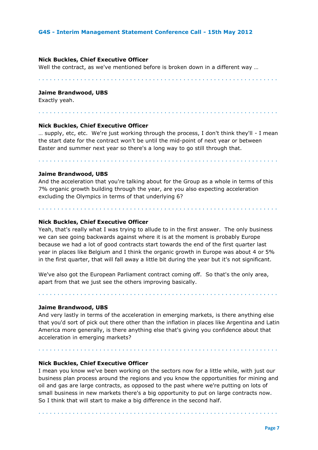#### **Nick Buckles, Chief Executive Officer**

Well the contract, as we've mentioned before is broken down in a different way …

. . . . . . . . . . . . . . . . . . . . . . . . . . . . . . . . . . . . . . . . . . . . . . . . . . . . . . . . . . . . . . .

. . . . . . . . . . . . . . . . . . . . . . . . . . . . . . . . . . . . . . . . . . . . . . . . . . . . . . . . . . . . . . .

#### **Jaime Brandwood, UBS**

Exactly yeah.

# **Nick Buckles, Chief Executive Officer**

… supply, etc, etc. We're just working through the process, I don't think they'll - I mean the start date for the contract won't be until the mid-point of next year or between Easter and summer next year so there's a long way to go still through that.

. . . . . . . . . . . . . . . . . . . . . . . . . . . . . . . . . . . . . . . . . . . . . . . . . . . . . . . . . . . . . . .

#### **Jaime Brandwood, UBS**

And the acceleration that you're talking about for the Group as a whole in terms of this 7% organic growth building through the year, are you also expecting acceleration excluding the Olympics in terms of that underlying 6?

. . . . . . . . . . . . . . . . . . . . . . . . . . . . . . . . . . . . . . . . . . . . . . . . . . . . . . . . . . . . . . .

#### **Nick Buckles, Chief Executive Officer**

Yeah, that's really what I was trying to allude to in the first answer. The only business we can see going backwards against where it is at the moment is probably Europe because we had a lot of good contracts start towards the end of the first quarter last year in places like Belgium and I think the organic growth in Europe was about 4 or 5% in the first quarter, that will fall away a little bit during the year but it's not significant.

We've also got the European Parliament contract coming off. So that's the only area, apart from that we just see the others improving basically.

#### **Jaime Brandwood, UBS**

And very lastly in terms of the acceleration in emerging markets, is there anything else that you'd sort of pick out there other than the inflation in places like Argentina and Latin America more generally, is there anything else that's giving you confidence about that acceleration in emerging markets?

. . . . . . . . . . . . . . . . . . . . . . . . . . . . . . . . . . . . . . . . . . . . . . . . . . . . . . . . . . . . . . .

. . . . . . . . . . . . . . . . . . . . . . . . . . . . . . . . . . . . . . . . . . . . . . . . . . . . . . . . . . . . . . .

#### **Nick Buckles, Chief Executive Officer**

I mean you know we've been working on the sectors now for a little while, with just our business plan process around the regions and you know the opportunities for mining and oil and gas are large contracts, as opposed to the past where we're putting on lots of small business in new markets there's a big opportunity to put on large contracts now. So I think that will start to make a big difference in the second half.

. . . . . . . . . . . . . . . . . . . . . . . . . . . . . . . . . . . . . . . . . . . . . . . . . . . . . . . . . . . . . . .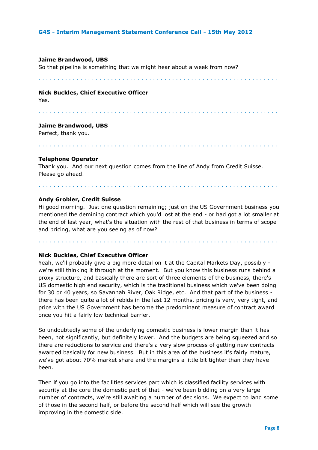#### **Jaime Brandwood, UBS**

So that pipeline is something that we might hear about a week from now?

. . . . . . . . . . . . . . . . . . . . . . . . . . . . . . . . . . . . . . . . . . . . . . . . . . . . . . . . . . . . . . .

#### **Nick Buckles, Chief Executive Officer**

Yes.

. . . . . . . . . . . . . . . . . . . . . . . . . . . . . . . . . . . . . . . . . . . . . . . . . . . . . . . . . . . . . . .

#### **Jaime Brandwood, UBS**

Perfect, thank you.

. . . . . . . . . . . . . . . . . . . . . . . . . . . . . . . . . . . . . . . . . . . . . . . . . . . . . . . . . . . . . . .

#### **Telephone Operator**

Thank you. And our next question comes from the line of Andy from Credit Suisse. Please go ahead.

#### **Andy Grobler, Credit Suisse**

Hi good morning. Just one question remaining; just on the US Government business you mentioned the demining contract which you'd lost at the end - or had got a lot smaller at the end of last year, what's the situation with the rest of that business in terms of scope and pricing, what are you seeing as of now?

. . . . . . . . . . . . . . . . . . . . . . . . . . . . . . . . . . . . . . . . . . . . . . . . . . . . . . . . . . . . . . .

. . . . . . . . . . . . . . . . . . . . . . . . . . . . . . . . . . . . . . . . . . . . . . . . . . . . . . . . . . . . . . .

## **Nick Buckles, Chief Executive Officer**

Yeah, we'll probably give a big more detail on it at the Capital Markets Day, possibly we're still thinking it through at the moment. But you know this business runs behind a proxy structure, and basically there are sort of three elements of the business, there's US domestic high end security, which is the traditional business which we've been doing for 30 or 40 years, so Savannah River, Oak Ridge, etc. And that part of the business there has been quite a lot of rebids in the last 12 months, pricing is very, very tight, and price with the US Government has become the predominant measure of contract award once you hit a fairly low technical barrier.

So undoubtedly some of the underlying domestic business is lower margin than it has been, not significantly, but definitely lower. And the budgets are being squeezed and so there are reductions to service and there's a very slow process of getting new contracts awarded basically for new business. But in this area of the business it's fairly mature, we've got about 70% market share and the margins a little bit tighter than they have been.

Then if you go into the facilities services part which is classified facility services with security at the core the domestic part of that - we've been bidding on a very large number of contracts, we're still awaiting a number of decisions. We expect to land some of those in the second half, or before the second half which will see the growth improving in the domestic side.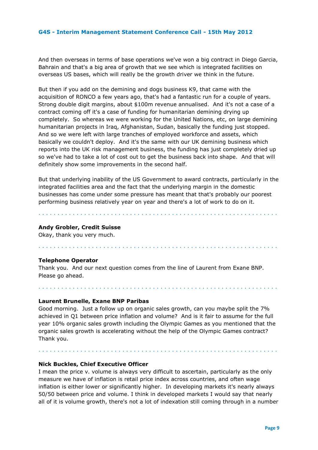And then overseas in terms of base operations we've won a big contract in Diego Garcia, Bahrain and that's a big area of growth that we see which is integrated facilities on overseas US bases, which will really be the growth driver we think in the future.

But then if you add on the demining and dogs business K9, that came with the acquisition of RONCO a few years ago, that's had a fantastic run for a couple of years. Strong double digit margins, about \$100m revenue annualised. And it's not a case of a contract coming off it's a case of funding for humanitarian demining drying up completely. So whereas we were working for the United Nations, etc, on large demining humanitarian projects in Iraq, Afghanistan, Sudan, basically the funding just stopped. And so we were left with large tranches of employed workforce and assets, which basically we couldn't deploy. And it's the same with our UK demining business which reports into the UK risk management business, the funding has just completely dried up so we've had to take a lot of cost out to get the business back into shape. And that will definitely show some improvements in the second half.

But that underlying inability of the US Government to award contracts, particularly in the integrated facilities area and the fact that the underlying margin in the domestic businesses has come under some pressure has meant that that's probably our poorest performing business relatively year on year and there's a lot of work to do on it.

. . . . . . . . . . . . . . . . . . . . . . . . . . . . . . . . . . . . . . . . . . . . . . . . . . . . . . . . . . . . . . .

. . . . . . . . . . . . . . . . . . . . . . . . . . . . . . . . . . . . . . . . . . . . . . . . . . . . . . . . . . . . . . .

#### **Andy Grobler, Credit Suisse**

Okay, thank you very much.

## **Telephone Operator**

Thank you. And our next question comes from the line of Laurent from Exane BNP. Please go ahead.

#### **Laurent Brunelle, Exane BNP Paribas**

Good morning. Just a follow up on organic sales growth, can you maybe split the 7% achieved in Q1 between price inflation and volume? And is it fair to assume for the full year 10% organic sales growth including the Olympic Games as you mentioned that the organic sales growth is accelerating without the help of the Olympic Games contract? Thank you.

. . . . . . . . . . . . . . . . . . . . . . . . . . . . . . . . . . . . . . . . . . . . . . . . . . . . . . . . . . . . . . .

. . . . . . . . . . . . . . . . . . . . . . . . . . . . . . . . . . . . . . . . . . . . . . . . . . . . . . . . . . . . . . .

#### **Nick Buckles, Chief Executive Officer**

I mean the price v. volume is always very difficult to ascertain, particularly as the only measure we have of inflation is retail price index across countries, and often wage inflation is either lower or significantly higher. In developing markets it's nearly always 50/50 between price and volume. I think in developed markets I would say that nearly all of it is volume growth, there's not a lot of indexation still coming through in a number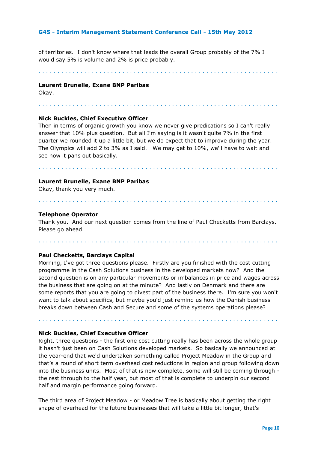of territories. I don't know where that leads the overall Group probably of the 7% I would say 5% is volume and 2% is price probably.

. . . . . . . . . . . . . . . . . . . . . . . . . . . . . . . . . . . . . . . . . . . . . . . . . . . . . . . . . . . . . . .

. . . . . . . . . . . . . . . . . . . . . . . . . . . . . . . . . . . . . . . . . . . . . . . . . . . . . . . . . . . . . . .

#### **Laurent Brunelle, Exane BNP Paribas**

Okay.

## **Nick Buckles, Chief Executive Officer**

Then in terms of organic growth you know we never give predications so I can't really answer that 10% plus question. But all I'm saying is it wasn't quite 7% in the first quarter we rounded it up a little bit, but we do expect that to improve during the year. The Olympics will add 2 to 3% as I said. We may get to 10%, we'll have to wait and see how it pans out basically.

. . . . . . . . . . . . . . . . . . . . . . . . . . . . . . . . . . . . . . . . . . . . . . . . . . . . . . . . . . . . . . .

#### **Laurent Brunelle, Exane BNP Paribas**

Okay, thank you very much.

#### **Telephone Operator**

Thank you. And our next question comes from the line of Paul Checketts from Barclays. Please go ahead.

. . . . . . . . . . . . . . . . . . . . . . . . . . . . . . . . . . . . . . . . . . . . . . . . . . . . . . . . . . . . . . .

. . . . . . . . . . . . . . . . . . . . . . . . . . . . . . . . . . . . . . . . . . . . . . . . . . . . . . . . . . . . . . .

#### **Paul Checketts, Barclays Capital**

Morning, I've got three questions please. Firstly are you finished with the cost cutting programme in the Cash Solutions business in the developed markets now? And the second question is on any particular movements or imbalances in price and wages across the business that are going on at the minute? And lastly on Denmark and there are some reports that you are going to divest part of the business there. I'm sure you won't want to talk about specifics, but maybe you'd just remind us how the Danish business breaks down between Cash and Secure and some of the systems operations please?

. . . . . . . . . . . . . . . . . . . . . . . . . . . . . . . . . . . . . . . . . . . . . . . . . . . . . . . . . . . . . . .

#### **Nick Buckles, Chief Executive Officer**

Right, three questions - the first one cost cutting really has been across the whole group it hasn't just been on Cash Solutions developed markets. So basically we announced at the year-end that we'd undertaken something called Project Meadow in the Group and that's a round of short term overhead cost reductions in region and group following down into the business units. Most of that is now complete, some will still be coming through the rest through to the half year, but most of that is complete to underpin our second half and margin performance going forward.

The third area of Project Meadow - or Meadow Tree is basically about getting the right shape of overhead for the future businesses that will take a little bit longer, that's